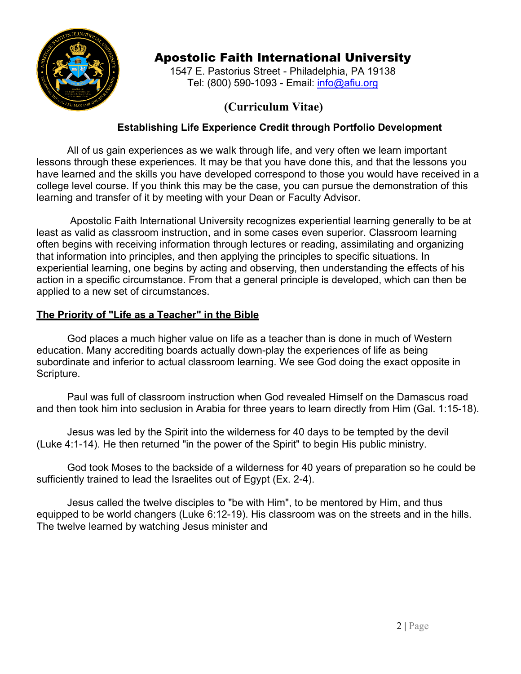

# Apostolic Faith International University

1547 E. Pastorius Street - Philadelphia, PA 19138 Tel: (800) 590-1093 - Email: [info@afiu.org](mailto:info@afiu.org)

# **(Curriculum Vitae)**

## **Establishing Life Experience Credit through Portfolio Development**

All of us gain experiences as we walk through life, and very often we learn important lessons through these experiences. It may be that you have done this, and that the lessons you have learned and the skills you have developed correspond to those you would have received in a college level course. If you think this may be the case, you can pursue the demonstration of this learning and transfer of it by meeting with your Dean or Faculty Advisor.

Apostolic Faith International University recognizes experiential learning generally to be at least as valid as classroom instruction, and in some cases even superior. Classroom learning often begins with receiving information through lectures or reading, assimilating and organizing that information into principles, and then applying the principles to specific situations. In experiential learning, one begins by acting and observing, then understanding the effects of his action in a specific circumstance. From that a general principle is developed, which can then be applied to a new set of circumstances.

## **The Priority of "Life as a Teacher" in the Bible**

God places a much higher value on life as a teacher than is done in much of Western education. Many accrediting boards actually down-play the experiences of life as being subordinate and inferior to actual classroom learning. We see God doing the exact opposite in Scripture.

Paul was full of classroom instruction when God revealed Himself on the Damascus road and then took him into seclusion in Arabia for three years to learn directly from Him (Gal. 1:15-18).

Jesus was led by the Spirit into the wilderness for 40 days to be tempted by the devil (Luke 4:1-14). He then returned "in the power of the Spirit" to begin His public ministry.

God took Moses to the backside of a wilderness for 40 years of preparation so he could be sufficiently trained to lead the Israelites out of Egypt (Ex. 2-4).

Jesus called the twelve disciples to "be with Him", to be mentored by Him, and thus equipped to be world changers (Luke 6:12-19). His classroom was on the streets and in the hills. The twelve learned by watching Jesus minister and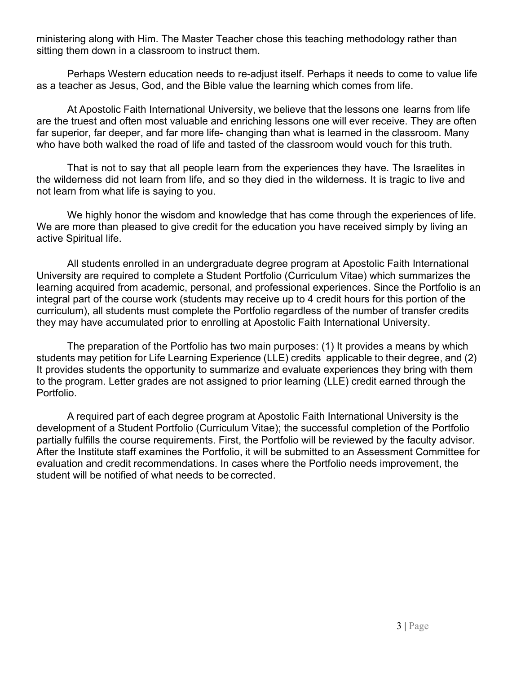ministering along with Him. The Master Teacher chose this teaching methodology rather than sitting them down in a classroom to instruct them.

Perhaps Western education needs to re-adjust itself. Perhaps it needs to come to value life as a teacher as Jesus, God, and the Bible value the learning which comes from life.

At Apostolic Faith International University, we believe that the lessons one learns from life are the truest and often most valuable and enriching lessons one will ever receive. They are often far superior, far deeper, and far more life- changing than what is learned in the classroom. Many who have both walked the road of life and tasted of the classroom would vouch for this truth.

That is not to say that all people learn from the experiences they have. The Israelites in the wilderness did not learn from life, and so they died in the wilderness. It is tragic to live and not learn from what life is saying to you.

We highly honor the wisdom and knowledge that has come through the experiences of life. We are more than pleased to give credit for the education you have received simply by living an active Spiritual life.

All students enrolled in an undergraduate degree program at Apostolic Faith International University are required to complete a Student Portfolio (Curriculum Vitae) which summarizes the learning acquired from academic, personal, and professional experiences. Since the Portfolio is an integral part of the course work (students may receive up to 4 credit hours for this portion of the curriculum), all students must complete the Portfolio regardless of the number of transfer credits they may have accumulated prior to enrolling at Apostolic Faith International University.

The preparation of the Portfolio has two main purposes: (1) It provides a means by which students may petition for Life Learning Experience (LLE) credits applicable to their degree, and (2) It provides students the opportunity to summarize and evaluate experiences they bring with them to the program. Letter grades are not assigned to prior learning (LLE) credit earned through the Portfolio.

A required part of each degree program at Apostolic Faith International University is the development of a Student Portfolio (Curriculum Vitae); the successful completion of the Portfolio partially fulfills the course requirements. First, the Portfolio will be reviewed by the faculty advisor. After the Institute staff examines the Portfolio, it will be submitted to an Assessment Committee for evaluation and credit recommendations. In cases where the Portfolio needs improvement, the student will be notified of what needs to be corrected.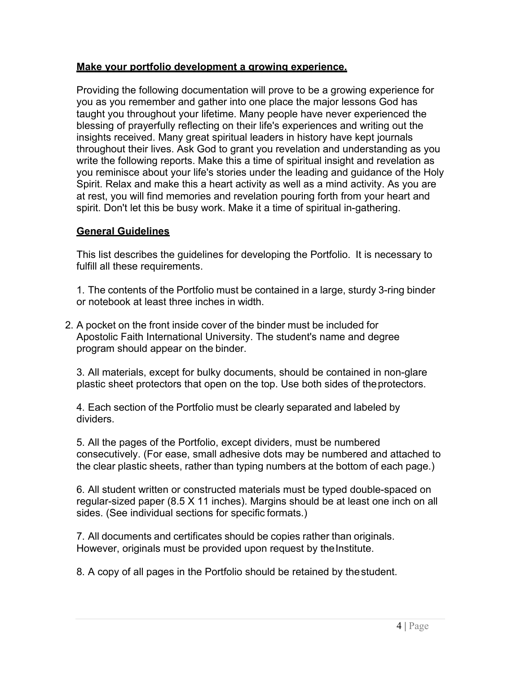#### **Make your portfolio development a growing experience.**

Providing the following documentation will prove to be a growing experience for you as you remember and gather into one place the major lessons God has taught you throughout your lifetime. Many people have never experienced the blessing of prayerfully reflecting on their life's experiences and writing out the insights received. Many great spiritual leaders in history have kept journals throughout their lives. Ask God to grant you revelation and understanding as you write the following reports. Make this a time of spiritual insight and revelation as you reminisce about your life's stories under the leading and guidance of the Holy Spirit. Relax and make this a heart activity as well as a mind activity. As you are at rest, you will find memories and revelation pouring forth from your heart and spirit. Don't let this be busy work. Make it a time of spiritual in-gathering.

#### **General Guidelines**

This list describes the guidelines for developing the Portfolio. It is necessary to fulfill all these requirements.

1. The contents of the Portfolio must be contained in a large, sturdy 3-ring binder or notebook at least three inches in width.

2. A pocket on the front inside cover of the binder must be included for Apostolic Faith International University. The student's name and degree program should appear on the binder.

3. All materials, except for bulky documents, should be contained in non-glare plastic sheet protectors that open on the top. Use both sides of theprotectors.

4. Each section of the Portfolio must be clearly separated and labeled by dividers.

5. All the pages of the Portfolio, except dividers, must be numbered consecutively. (For ease, small adhesive dots may be numbered and attached to the clear plastic sheets, rather than typing numbers at the bottom of each page.)

6. All student written or constructed materials must be typed double-spaced on regular-sized paper (8.5 X 11 inches). Margins should be at least one inch on all sides. (See individual sections for specific formats.)

7. All documents and certificates should be copies rather than originals. However, originals must be provided upon request by the Institute.

8. A copy of all pages in the Portfolio should be retained by thestudent.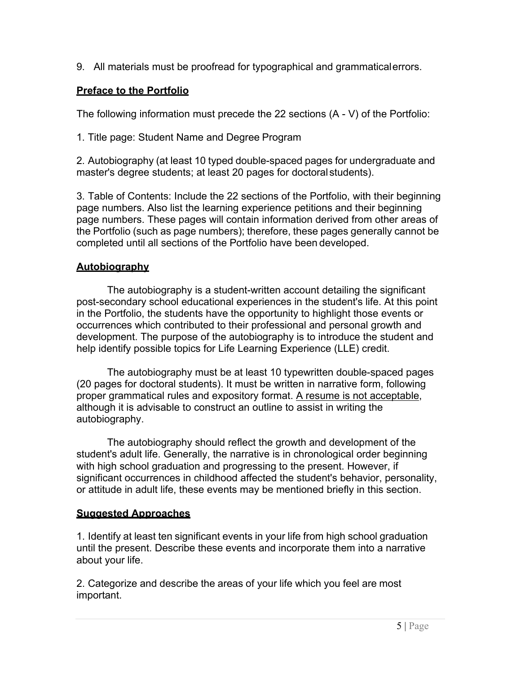9. All materials must be proofread for typographical and grammaticalerrors.

## **Preface to the Portfolio**

The following information must precede the 22 sections (A - V) of the Portfolio:

1. Title page: Student Name and Degree Program

2. Autobiography (at least 10 typed double-spaced pages for undergraduate and master's degree students; at least 20 pages for doctoral students).

3. Table of Contents: Include the 22 sections of the Portfolio, with their beginning page numbers. Also list the learning experience petitions and their beginning page numbers. These pages will contain information derived from other areas of the Portfolio (such as page numbers); therefore, these pages generally cannot be completed until all sections of the Portfolio have been developed.

# **Autobiography**

The autobiography is a student-written account detailing the significant post-secondary school educational experiences in the student's life. At this point in the Portfolio, the students have the opportunity to highlight those events or occurrences which contributed to their professional and personal growth and development. The purpose of the autobiography is to introduce the student and help identify possible topics for Life Learning Experience (LLE) credit.

The autobiography must be at least 10 typewritten double-spaced pages (20 pages for doctoral students). It must be written in narrative form, following proper grammatical rules and expository format. A resume is not acceptable, although it is advisable to construct an outline to assist in writing the autobiography.

The autobiography should reflect the growth and development of the student's adult life. Generally, the narrative is in chronological order beginning with high school graduation and progressing to the present. However, if significant occurrences in childhood affected the student's behavior, personality, or attitude in adult life, these events may be mentioned briefly in this section.

# **Suggested Approaches**

1. Identify at least ten significant events in your life from high school graduation until the present. Describe these events and incorporate them into a narrative about your life.

2. Categorize and describe the areas of your life which you feel are most important.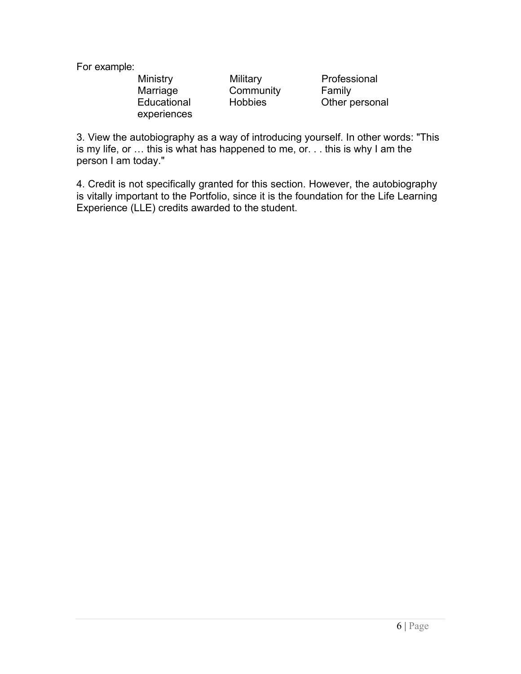For example:

experiences

Ministry Military Professional Marriage Community Family

Educational Hobbies Other personal

3. View the autobiography as a way of introducing yourself. In other words: "This is my life, or … this is what has happened to me, or. . . this is why I am the person I am today."

4. Credit is not specifically granted for this section. However, the autobiography is vitally important to the Portfolio, since it is the foundation for the Life Learning Experience (LLE) credits awarded to the student.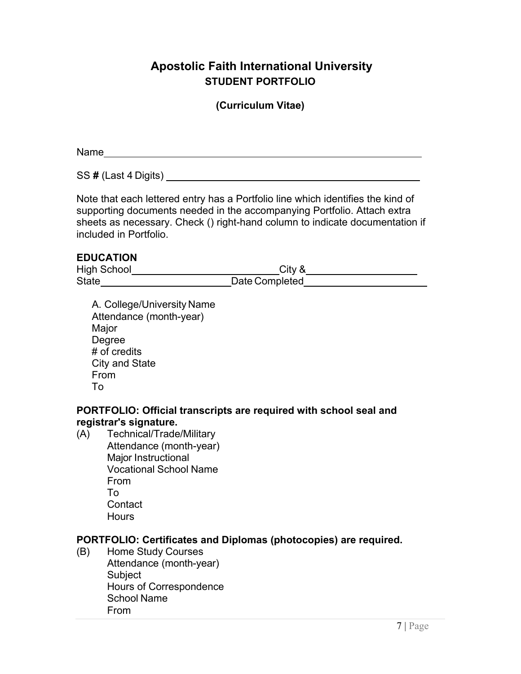# **Apostolic Faith International University STUDENT PORTFOLIO**

#### **(Curriculum Vitae)**

Name was a structured by the contract of the contract of the contract of the contract of the contract of the contract of the contract of the contract of the contract of the contract of the contract of the contract of the c

SS **#** (Last 4 Digits)

Note that each lettered entry has a Portfolio line which identifies the kind of supporting documents needed in the accompanying Portfolio. Attach extra sheets as necessary. Check () right-hand column to indicate documentation if included in Portfolio.

#### **EDUCATION**

High School\_\_\_\_\_\_\_\_\_\_\_\_\_\_\_\_\_\_\_\_\_\_\_\_\_\_\_\_City & State\_\_\_\_\_\_\_\_\_\_\_\_\_\_\_\_\_\_\_\_\_\_\_\_\_\_\_\_Date Completed

A. College/University Name Attendance (month-year) Major Degree # of credits City and State From To

#### **PORTFOLIO: Official transcripts are required with school seal and registrar's signature.**

(A) Technical/Trade/Military Attendance (month-year) Major Instructional Vocational School Name From To **Contact Hours** 

#### **PORTFOLIO: Certificates and Diplomas (photocopies) are required.**

(B) Home Study Courses Attendance (month-year) Subject Hours of Correspondence School Name From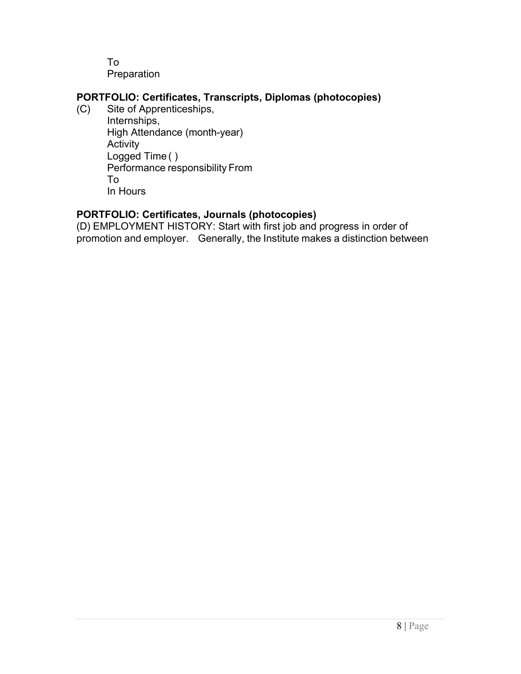To Preparation

# **PORTFOLIO: Certificates, Transcripts, Diplomas (photocopies)**

Site of Apprenticeships, Internships, High Attendance (month-year) **Activity** Logged Time ( ) Performance responsibility From To In Hours

## **PORTFOLIO: Certificates, Journals (photocopies)**

(D) EMPLOYMENT HISTORY: Start with first job and progress in order of promotion and employer. Generally, the Institute makes a distinction between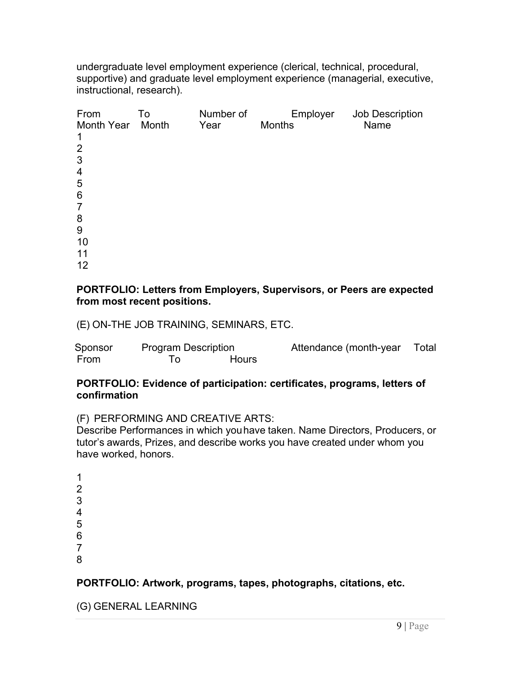undergraduate level employment experience (clerical, technical, procedural, supportive) and graduate level employment experience (managerial, executive, instructional, research).

| From<br>Month Year | To<br>Month | Number of<br>Year | <b>Months</b> | Employer | Job Description<br>Name |
|--------------------|-------------|-------------------|---------------|----------|-------------------------|
| $\mathbf 1$        |             |                   |               |          |                         |
| $\overline{2}$     |             |                   |               |          |                         |
| 3                  |             |                   |               |          |                         |
| $\overline{4}$     |             |                   |               |          |                         |
| 5                  |             |                   |               |          |                         |
| $6\phantom{1}6$    |             |                   |               |          |                         |
| $\overline{7}$     |             |                   |               |          |                         |
| 8                  |             |                   |               |          |                         |
| 9                  |             |                   |               |          |                         |
| 10                 |             |                   |               |          |                         |
| 11                 |             |                   |               |          |                         |
| 12                 |             |                   |               |          |                         |

#### **PORTFOLIO: Letters from Employers, Supervisors, or Peers are expected from most recent positions.**

(E) ON-THE JOB TRAINING, SEMINARS, ETC.

| Sponsor | <b>Program Description</b> |              | Attendance (month-year | Total |
|---------|----------------------------|--------------|------------------------|-------|
| From    |                            | <b>Hours</b> |                        |       |

#### **PORTFOLIO: Evidence of participation: certificates, programs, letters of confirmation**

```
(F) PERFORMING AND CREATIVE ARTS:
```
Describe Performances in which youhave taken. Name Directors, Producers, or tutor's awards, Prizes, and describe works you have created under whom you have worked, honors.

## **PORTFOLIO: Artwork, programs, tapes, photographs, citations, etc.**

(G) GENERAL LEARNING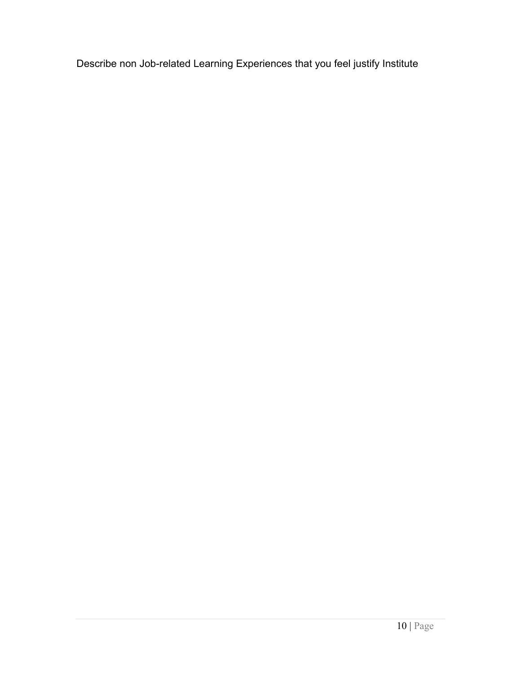Describe non Job-related Learning Experiences that you feel justify Institute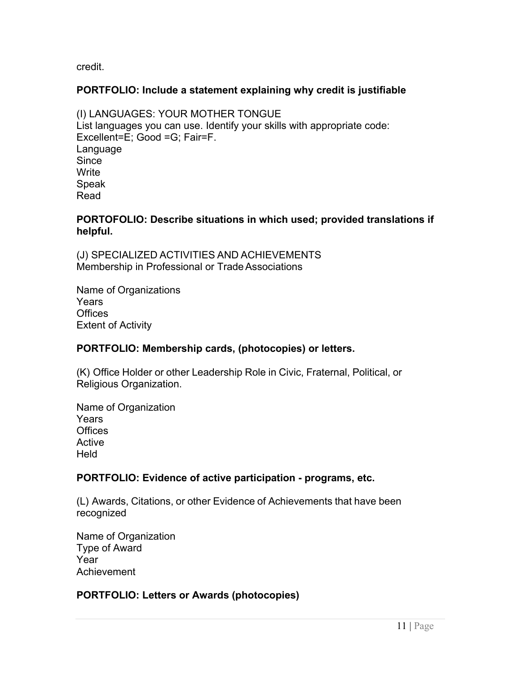credit.

#### **PORTFOLIO: Include a statement explaining why credit is justifiable**

(I) LANGUAGES: YOUR MOTHER TONGUE List languages you can use. Identify your skills with appropriate code: Excellent=E; Good =G; Fair=F. Language **Since Write** Speak Read

#### **PORTOFOLIO: Describe situations in which used; provided translations if helpful.**

(J) SPECIALIZED ACTIVITIES AND ACHIEVEMENTS Membership in Professional or Trade Associations

Name of Organizations **Years Offices** Extent of Activity

## **PORTFOLIO: Membership cards, (photocopies) or letters.**

(K) Office Holder or other Leadership Role in Civic, Fraternal, Political, or Religious Organization.

Name of Organization **Years Offices** Active Held

## **PORTFOLIO: Evidence of active participation - programs, etc.**

(L) Awards, Citations, or other Evidence of Achievements that have been recognized

Name of Organization Type of Award Year Achievement

## **PORTFOLIO: Letters or Awards (photocopies)**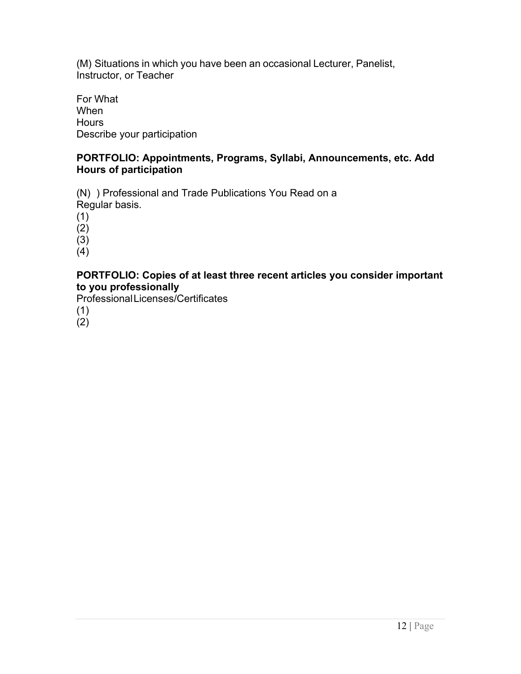(M) Situations in which you have been an occasional Lecturer, Panelist, Instructor, or Teacher

For What When **Hours** Describe your participation

#### **PORTFOLIO: Appointments, Programs, Syllabi, Announcements, etc. Add Hours of participation**

(N) ) Professional and Trade Publications You Read on a Regular basis.

(1)

 $(2)$ 

 $(3)$ 

(4)

#### **PORTFOLIO: Copies of at least three recent articles you consider important to you professionally**

ProfessionalLicenses/Certificates

(1)

 $(2)$